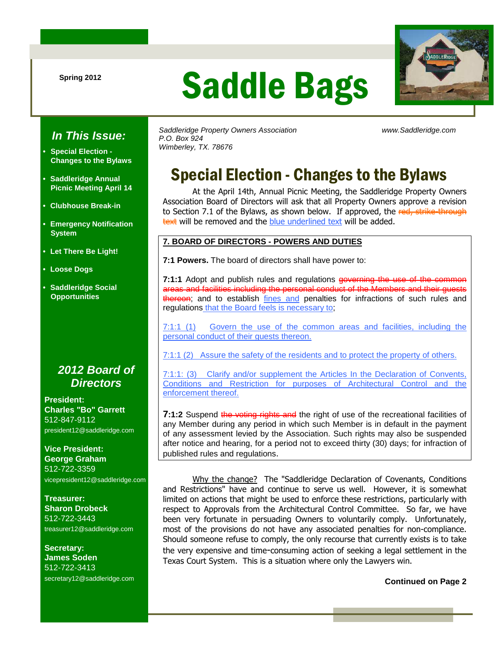# Saddle Bags



### **In This Issue:**

- **Special Election Changes to the Bylaws**
- **Saddleridge Annual Picnic Meeting April 14**
- **Clubhouse Break-in**
- **Emergency Notification System**
- **Let There Be Light!**
- **Loose Dogs**
- **Saddleridge Social Opportunities**

### **2012 Board of Directors**

**President: Charles "Bo" Garrett**  512-847-9112 president12@saddleridge.com

**Vice President: George Graham** 512-722-3359 vicepresident12@saddleridge.com

**Treasurer: Sharon Drobeck** 512-722-3443 treasurer12@saddleridge.com

**Secretary: James Soden** 512-722-3413 secretary12@saddleridge.com Saddleridge Property Owners Association www.Saddleridge.com P.O. Box 924 Wimberley, TX. 78676

# Special Election - Changes to the Bylaws

At the April 14th, Annual Picnic Meeting, the Saddleridge Property Owners Association Board of Directors will ask that all Property Owners approve a revision to Section 7.1 of the Bylaws, as shown below. If approved, the red, strike-through text will be removed and the blue underlined text will be added.

#### **7. BOARD OF DIRECTORS - POWERS AND DUTIES**

**7:1 Powers.** The board of directors shall have power to:

**7:1:1** Adopt and publish rules and regulations governing the areas and facilities including the personal conduct of the Members and their guests thereon; and to establish fines and penalties for infractions of such rules and regulations that the Board feels is necessary to;

7:1:1 (1) Govern the use of the common areas and facilities, including the personal conduct of their guests thereon.

7:1:1 (2) Assure the safety of the residents and to protect the property of others.

7:1:1: (3) Clarify and/or supplement the Articles In the Declaration of Convents, Conditions and Restriction for purposes of Architectural Control and the enforcement thereof.

**7:1:2** Suspend the voting rights and the right of use of the recreational facilities of any Member during any period in which such Member is in default in the payment of any assessment levied by the Association. Such rights may also be suspended after notice and hearing, for a period not to exceed thirty (30) days; for infraction of published rules and regulations.

 Why the change? The "Saddleridge Declaration of Covenants, Conditions and Restrictions" have and continue to serve us well. However, it is somewhat limited on actions that might be used to enforce these restrictions, particularly with respect to Approvals from the Architectural Control Committee. So far, we have been very fortunate in persuading Owners to voluntarily comply. Unfortunately, most of the provisions do not have any associated penalties for non-compliance. Should someone refuse to comply, the only recourse that currently exists is to take the very expensive and time-consuming action of seeking a legal settlement in the Texas Court System. This is a situation where only the Lawyers win.

**Continued on Page 2**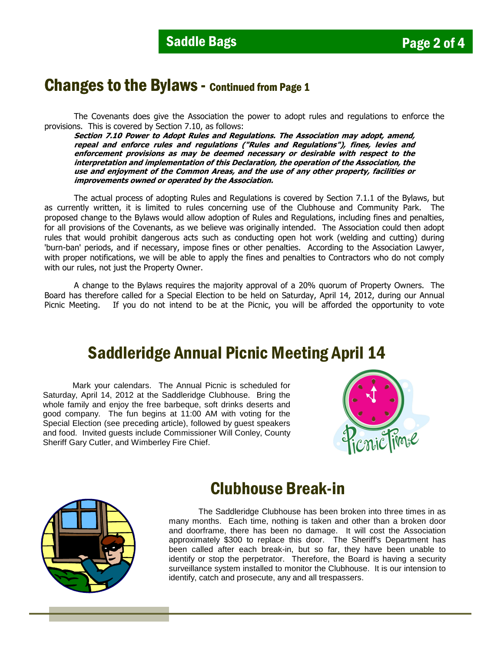### Changes to the Bylaws - Continued from Page 1

 The Covenants does give the Association the power to adopt rules and regulations to enforce the provisions. This is covered by Section 7.10, as follows:

**Section 7.10 Power to Adopt Rules and Regulations. The Association may adopt, amend, repeal and enforce rules and regulations ("Rules and Regulations"), fines, levies and enforcement provisions as may be deemed necessary or desirable with respect to the interpretation and implementation of this Declaration, the operation of the Association, the use and enjoyment of the Common Areas, and the use of any other property, facilities or improvements owned or operated by the Association.** 

The actual process of adopting Rules and Regulations is covered by Section 7.1.1 of the Bylaws, but as currently written, it is limited to rules concerning use of the Clubhouse and Community Park. The proposed change to the Bylaws would allow adoption of Rules and Regulations, including fines and penalties, for all provisions of the Covenants, as we believe was originally intended. The Association could then adopt rules that would prohibit dangerous acts such as conducting open hot work (welding and cutting) during 'burn-ban' periods, and if necessary, impose fines or other penalties. According to the Association Lawyer, with proper notifications, we will be able to apply the fines and penalties to Contractors who do not comply with our rules, not just the Property Owner.

A change to the Bylaws requires the majority approval of a 20% quorum of Property Owners. The Board has therefore called for a Special Election to be held on Saturday, April 14, 2012, during our Annual Picnic Meeting. If you do not intend to be at the Picnic, you will be afforded the opportunity to vote

## Saddleridge Annual Picnic Meeting April 14

Mark your calendars. The Annual Picnic is scheduled for Saturday, April 14, 2012 at the Saddleridge Clubhouse. Bring the whole family and enjoy the free barbeque, soft drinks deserts and good company. The fun begins at 11:00 AM with voting for the Special Election (see preceding article), followed by guest speakers and food. Invited guests include Commissioner Will Conley, County Sheriff Gary Cutler, and Wimberley Fire Chief.





### Clubhouse Break-in

The Saddleridge Clubhouse has been broken into three times in as many months. Each time, nothing is taken and other than a broken door and doorframe, there has been no damage. It will cost the Association approximately \$300 to replace this door. The Sheriff's Department has been called after each break-in, but so far, they have been unable to identify or stop the perpetrator. Therefore, the Board is having a security surveillance system installed to monitor the Clubhouse. It is our intension to identify, catch and prosecute, any and all trespassers.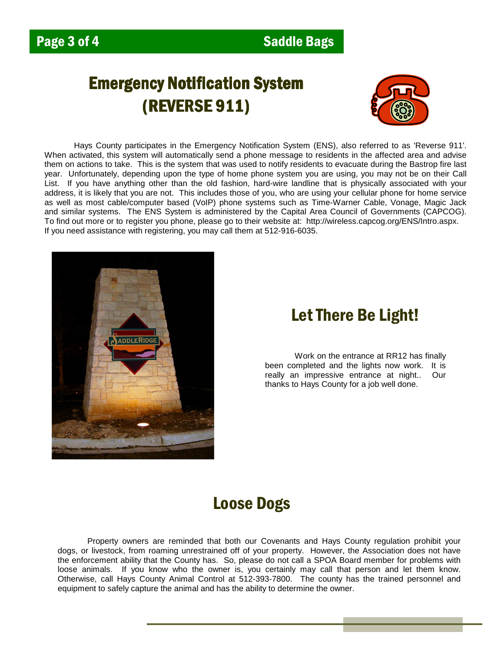# Emergency Notification System **(REVERSE 911)**



Hays County participates in the Emergency Notification System (ENS), also referred to as 'Reverse 911'. When activated, this system will automatically send a phone message to residents in the affected area and advise them on actions to take. This is the system that was used to notify residents to evacuate during the Bastrop fire last year. Unfortunately, depending upon the type of home phone system you are using, you may not be on their Call List. If you have anything other than the old fashion, hard-wire landline that is physically associated with your address, it is likely that you are not. This includes those of you, who are using your cellular phone for home service as well as most cable/computer based (VoIP) phone systems such as Time-Warner Cable, Vonage, Magic Jack and similar systems. The ENS System is administered by the Capital Area Council of Governments (CAPCOG). To find out more or to register you phone, please go to their website at: http://wireless.capcog.org/ENS/Intro.aspx. If you need assistance with registering, you may call them at 512-916-6035.



# Let There Be Light!

Work on the entrance at RR12 has finally been completed and the lights now work. It is really an impressive entrance at night.. Our thanks to Hays County for a job well done.

# Loose Dogs

Property owners are reminded that both our Covenants and Hays County regulation prohibit your dogs, or livestock, from roaming unrestrained off of your property. However, the Association does not have the enforcement ability that the County has. So, please do not call a SPOA Board member for problems with loose animals. If you know who the owner is, you certainly may call that person and let them know. Otherwise, call Hays County Animal Control at 512-393-7800. The county has the trained personnel and equipment to safely capture the animal and has the ability to determine the owner.